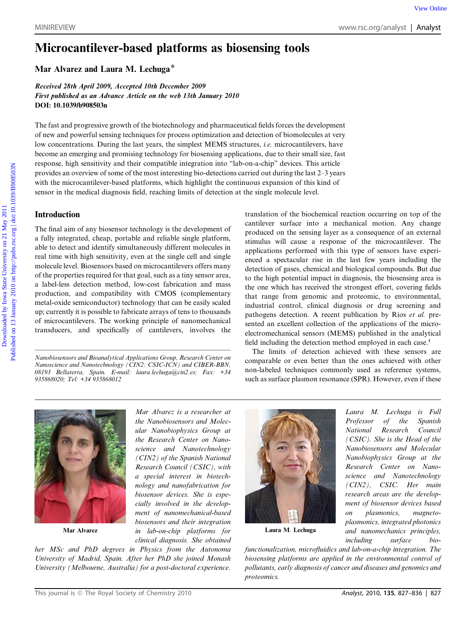# Microcantilever-based platforms as biosensing tools

Mar Alvarez and Laura M. Lechuga\*

Received 28th April 2009, Accepted 10th December 2009 First published as an Advance Article on the web 13th January 2010 DOI: 10.1039/b908503n

The fast and progressive growth of the biotechnology and pharmaceutical fields forces the development of new and powerful sensing techniques for process optimization and detection of biomolecules at very low concentrations. During the last years, the simplest MEMS structures, *i.e.* microcantilevers, have become an emerging and promising technology for biosensing applications, due to their small size, fast response, high sensitivity and their compatible integration into ''lab-on-a-chip'' devices. This article provides an overview of some of the most interesting bio-detections carried out during the last 2–3 years with the microcantilever-based platforms, which highlight the continuous expansion of this kind of sensor in the medical diagnosis field, reaching limits of detection at the single molecule level.

# Introduction

The final aim of any biosensor technology is the development of a fully integrated, cheap, portable and reliable single platform, able to detect and identify simultaneously different molecules in real time with high sensitivity, even at the single cell and single molecule level. Biosensors based on microcantilevers offers many of the properties required for that goal, such as a tiny sensor area, a label-less detection method, low-cost fabrication and mass production, and compatibility with CMOS (complementary metal-oxide semiconductor) technology that can be easily scaled up; currently it is possible to fabricate arrays of tens to thousands of microcantilevers. The working principle of nanomechanical transducers, and specifically of cantilevers, involves the

Nanobiosensors and Bioanalytical Applications Group, Research Center on Nanoscience and Nanotechnology (CIN2: CSIC-ICN) and CIBER-BBN, 08193 Bellaterra, Spain. E-mail: laura.lechuga@cin2.es; Fax: +34 935868020; Tel: +34 935868012

translation of the biochemical reaction occurring on top of the cantilever surface into a mechanical motion. Any change produced on the sensing layer as a consequence of an external stimulus will cause a response of the microcantilever. The applications performed with this type of sensors have experienced a spectacular rise in the last few years including the detection of gases, chemical and biological compounds. But due to the high potential impact in diagnosis, the biosensing area is the one which has received the strongest effort, covering fields that range from genomic and proteomic, to environmental, industrial control, clinical diagnosis or drug screening and pathogens detection. A recent publication by Ríos et al. presented an excellent collection of the applications of the microelectromechanical sensors (MEMS) published in the analytical field including the detection method employed in each case.<sup>1</sup> MINENEW View Colles<br>
Microceantilever-based platforms as biosensing tools<br>
Mar Aivarez and Laura M. Lechnga<sup>®</sup><br>
Received 386 April 2009, Accepted 10th December 2009<br>
For published a m Advance Article on the web 13th Ammer

The limits of detection achieved with these sensors are comparable or even better than the ones achieved with other non-labeled techniques commonly used as reference systems, such as surface plasmon resonance (SPR). However, even if these



Mar Alvarez

Mar Alvarez is a researcher at the Nanobiosensors and Molecular Nanobiophysics Group at the Research Center on Nanoscience and Nanotechnology (CIN2) of the Spanish National Research Council (CSIC), with a special interest in biotechnology and nanofabrication for biosensor devices. She is especially involved in the development of nanomechanical-based biosensors and their integration in lab-on-chip platforms for clinical diagnosis. She obtained

her MSc and PhD degrees in Physics from the Autonoma University of Madrid, Spain. After her PhD she joined Monash University (Melbourne, Australia) for a post-doctoral experience.



Laura M: Lechuga

including surface biofunctionalization, microfluidics and lab-on-a-chip integration. The biosensing platforms are applied in the environmental control of pollutants, early diagnosis of cancer and diseases and genomics and proteomics.

Laura M. Lechuga is Full Professor of the Spanish National Research Council (CSIC). She is the Head of the Nanobiosensors and Molecular Nanobiophysics Group at the Research Center on Nanoscience and Nanotechnology (CIN2), CSIC. Her main research areas are the development of biosensor devices based on plasmonics, magnetoplasmonics, integrated photonics and nanomechanics principles,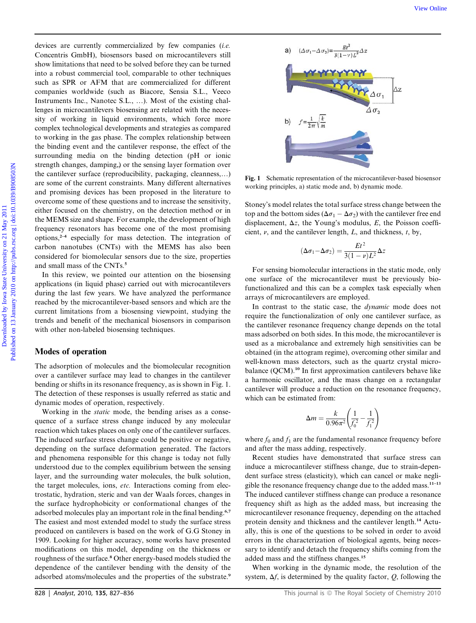devices are currently commercialized by few companies *(i.e.*) Concentris GmbH), biosensors based on microcantilevers still show limitations that need to be solved before they can be turned into a robust commercial tool, comparable to other techniques such as SPR or AFM that are commercialized for different companies worldwide (such as Biacore, Sensia S.L., Veeco Instruments Inc., Nanotec S.L., ...). Most of the existing challenges in microcantilevers biosensing are related with the necessity of working in liquid environments, which force more complex technological developments and strategies as compared to working in the gas phase. The complex relationship between the binding event and the cantilever response, the effect of the surrounding media on the binding detection (pH or ionic strength changes, damping,) or the sensing layer formation over<br>the sensitive services (seems held like services) the cantilever surface (reproducibility, packaging, cleanness,...) are some of the current constraints. Many different alternatives and promising devices has been proposed in the literature to overcome some of these questions and to increase the sensitivity, either focused on the chemistry, on the detection method or in the MEMS size and shape. For example, the development of high frequency resonators has become one of the most promising options,2–4 especially for mass detection. The integration of carbon nanotubes (CNTs) with the MEMS has also been considered for biomolecular sensors due to the size, properties and small mass of the CNTs.<sup>5</sup> Were Online through commentationed by Iow comparist (*t*)<br>
Conceasion General scale on intervention consistent and the consistent of the constrained into a new term of the analysis of the consistent of the state of the st

In this review, we pointed our attention on the biosensing applications (in liquid phase) carried out with microcantilevers during the last few years. We have analyzed the performance reached by the microcantilever-based sensors and which are the current limitations from a biosensing viewpoint, studying the trends and benefit of the mechanical biosensors in comparison with other non-labeled biosensing techniques.

## Modes of operation

The adsorption of molecules and the biomolecular recognition over a cantilever surface may lead to changes in the cantilever bending or shifts in its resonance frequency, as is shown in Fig. 1. The detection of these responses is usually referred as static and dynamic modes of operation, respectively.

Working in the *static* mode, the bending arises as a consequence of a surface stress change induced by any molecular reaction which takes places on only one of the cantilever surfaces. The induced surface stress change could be positive or negative, depending on the surface deformation generated. The factors and phenomena responsible for this change is today not fully understood due to the complex equilibrium between the sensing layer, and the surrounding water molecules, the bulk solution, the target molecules, ions, *etc*. Interactions coming from electrostatic, hydration, steric and van der Waals forces, changes in the surface hydrophobicity or conformational changes of the adsorbed molecules play an important role in the final bending.<sup>6,7</sup> The easiest and most extended model to study the surface stress produced on cantilevers is based on the work of G.G Stoney in 1909. Looking for higher accuracy, some works have presented modifications on this model, depending on the thickness or roughness of the surface.<sup>8</sup> Other energy-based models studied the dependence of the cantilever bending with the density of the adsorbed atoms/molecules and the properties of the substrate.<sup>9</sup>



Fig. 1 Schematic representation of the microcantilever-based biosensor working principles, a) static mode and, b) dynamic mode.

Stoney's model relates the total surface stress change between the top and the bottom sides ( $\Delta \sigma_1 - \Delta \sigma_2$ ) with the cantilever free end displacement,  $\Delta z$ , the Young's modulus, E, the Poisson coefficient,  $\nu$ , and the cantilever length,  $L$ , and thickness,  $t$ , by,

$$
(\Delta \sigma_1 - \Delta \sigma_2) = \frac{Et^2}{3(1 - v)L^2} \Delta z
$$

For sensing biomolecular interactions in the static mode, only one surface of the microcantilever must be previously biofunctionalized and this can be a complex task especially when arrays of microcantilevers are employed.

In contrast to the static case, the dynamic mode does not require the functionalization of only one cantilever surface, as the cantilever resonance frequency change depends on the total mass adsorbed on both sides. In this mode, the microcantilever is used as a microbalance and extremely high sensitivities can be obtained (in the attogram regime), overcoming other similar and well-known mass detectors, such as the quartz crystal microbalance (QCM).<sup>10</sup> In first approximation cantilevers behave like a harmonic oscillator, and the mass change on a rectangular cantilever will produce a reduction on the resonance frequency, which can be estimated from:

$$
\Delta m = \frac{k}{0.96\pi^2} \left(\frac{1}{f_0^2} - \frac{1}{f_1^2}\right)
$$

where  $f_0$  and  $f_1$  are the fundamental resonance frequency before and after the mass adding, respectively.

Recent studies have demonstrated that surface stress can induce a microcantilever stiffness change, due to strain-dependent surface stress (elasticity), which can cancel or make negligible the resonance frequency change due to the added mass.<sup>11-13</sup> The induced cantilever stiffness change can produce a resonance frequency shift as high as the added mass, but increasing the microcantilever resonance frequency, depending on the attached protein density and thickness and the cantilever length.<sup>14</sup> Actually, this is one of the questions to be solved in order to avoid errors in the characterization of biological agents, being necessary to identify and detach the frequency shifts coming from the added mass and the stiffness changes.<sup>15</sup>

When working in the dynamic mode, the resolution of the system,  $\Delta f$ , is determined by the quality factor, Q, following the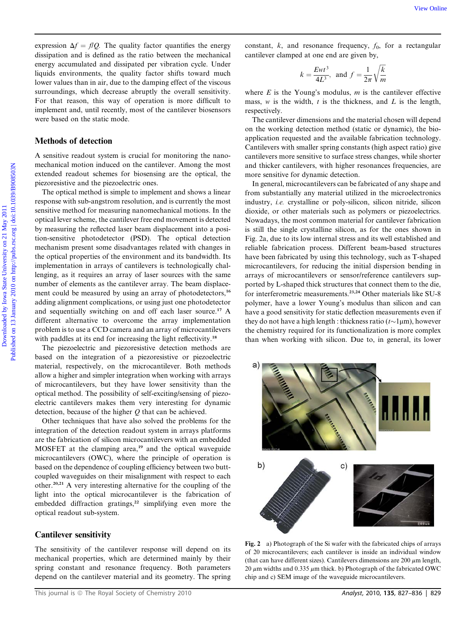expression  $\Delta f = flQ$ . The quality factor quantifies the energy dissipation and is defined as the ratio between the mechanical energy accumulated and dissipated per vibration cycle. Under liquids environments, the quality factor shifts toward much lower values than in air, due to the damping effect of the viscous surroundings, which decrease abruptly the overall sensitivity. For that reason, this way of operation is more difficult to implement and, until recently, most of the cantilever biosensors were based on the static mode.

# Methods of detection

A sensitive readout system is crucial for monitoring the nanomechanical motion induced on the cantilever. Among the most extended readout schemes for biosensing are the optical, the piezoresistive and the piezoelectric ones.

The optical method is simple to implement and shows a linear response with sub-angstrom resolution, and is currently the most sensitive method for measuring nanomechanical motions. In the optical lever scheme, the cantilever free end movement is detected by measuring the reflected laser beam displacement into a position-sensitive photodetector (PSD). The optical detection mechanism present some disadvantages related with changes in the optical properties of the environment and its bandwidth. Its implementation in arrays of cantilevers is technologically challenging, as it requires an array of laser sources with the same number of elements as the cantilever array. The beam displacement could be measured by using an array of photodetectors,<sup>16</sup> adding alignment complications, or using just one photodetector and sequentially switching on and off each laser source.<sup>17</sup> A different alternative to overcome the array implementation problem is to use a CCD camera and an array of microcantilevers with paddles at its end for increasing the light reflectivity.<sup>18</sup>

The piezoelectric and piezoresistive detection methods are based on the integration of a piezoresistive or piezoelectric material, respectively, on the microcantilever. Both methods allow a higher and simpler integration when working with arrays of microcantilevers, but they have lower sensitivity than the optical method. The possibility of self-exciting/sensing of piezoelectric cantilevers makes them very interesting for dynamic detection, because of the higher  $Q$  that can be achieved.

Other techniques that have also solved the problems for the integration of the detection readout system in arrays platforms are the fabrication of silicon microcantilevers with an embedded MOSFET at the clamping area,<sup>19</sup> and the optical waveguide microcantilevers (OWC), where the principle of operation is based on the dependence of coupling efficiency between two buttcoupled waveguides on their misalignment with respect to each other.20,21 A very interesting alternative for the coupling of the light into the optical microcantilever is the fabrication of embedded diffraction gratings,<sup>22</sup> simplifying even more the optical readout sub-system.

## Cantilever sensitivity

The sensitivity of the cantilever response will depend on its mechanical properties, which are determined mainly by their spring constant and resonance frequency. Both parameters depend on the cantilever material and its geometry. The spring

constant,  $k$ , and resonance frequency,  $f_0$ , for a rectangular cantilever clamped at one end are given by,

$$
k = \frac{Ewt^3}{4L^3}
$$
, and  $f = \frac{1}{2\pi} \sqrt{\frac{k}{m}}$ 

where  $E$  is the Young's modulus,  $m$  is the cantilever effective mass,  $w$  is the width,  $t$  is the thickness, and  $L$  is the length, respectively.

The cantilever dimensions and the material chosen will depend on the working detection method (static or dynamic), the bioapplication requested and the available fabrication technology. Cantilevers with smaller spring constants (high aspect ratio) give cantilevers more sensitive to surface stress changes, while shorter and thicker cantilevers, with higher resonances frequencies, are more sensitive for dynamic detection.

In general, microcantilevers can be fabricated of any shape and from substantially any material utilized in the microelectronics industry, i.e. crystalline or poly-silicon, silicon nitride, silicon dioxide, or other materials such as polymers or piezoelectrics. Nowadays, the most common material for cantilever fabrication is still the single crystalline silicon, as for the ones shown in Fig. 2a, due to its low internal stress and its well established and reliable fabrication process. Different beam-based structures have been fabricated by using this technology, such as T-shaped microcantilevers, for reducing the initial dispersion bending in arrays of microcantilevers or sensor/reference cantilevers supported by L-shaped thick structures that connect them to the die, for interferometric measurements.23,24 Other materials like SU-8 polymer, have a lower Young's modulus than silicon and can have a good sensitivity for static deflection measurements even if they do not have a high length : thickness ratio  $(t\sim1\mu\text{m})$ , however the chemistry required for its functionalization is more complex than when working with silicon. Due to, in general, its lower Were Galactical controlline into the controlline into the controlline into the controlline into the controlline into the controlline into the controlline into the controlline into the controlline into the controlline into



Fig. 2 a) Photograph of the Si wafer with the fabricated chips of arrays of 20 microcantilevers; each cantilever is inside an individual window (that can have different sizes). Cantilevers dimensions are 200  $\mu$ m length, 20  $\mu$ m widths and 0.335  $\mu$ m thick. b) Photograph of the fabricated OWC chip and c) SEM image of the waveguide microcantilevers.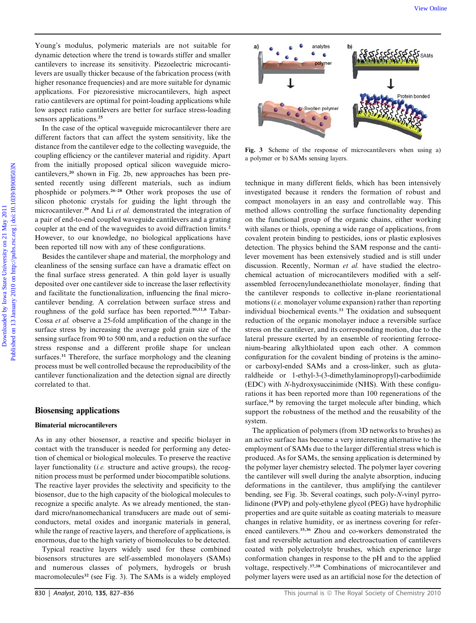Young's modulus, polymeric materials are not suitable for dynamic detection where the trend is towards stiffer and smaller cantilevers to increase its sensitivity. Piezoelectric microcantilevers are usually thicker because of the fabrication process (with higher resonance frequencies) and are more suitable for dynamic applications. For piezoresistive microcantilevers, high aspect ratio cantilevers are optimal for point-loading applications while low aspect ratio cantilevers are better for surface stress-loading sensors applications.<sup>25</sup>

In the case of the optical waveguide microcantilever there are different factors that can affect the system sensitivity, like the distance from the cantilever edge to the collecting waveguide, the coupling efficiency or the cantilever material and rigidity. Apart from the initially proposed optical silicon waveguide microcantilevers,<sup>20</sup> shown in Fig. 2b, new approaches has been presented recently using different materials, such as indium phosphide or polymers.26–28 Other work proposes the use of silicon photonic crystals for guiding the light through the microcantilever.<sup>29</sup> And Li et al. demonstrated the integration of a pair of end-to-end coupled waveguide cantilevers and a grating coupler at the end of the waveguides to avoid diffraction limits.<sup>2</sup> However, to our knowledge, no biological applications have been reported till now with any of these configurations.

Besides the cantilever shape and material, the morphology and cleanliness of the sensing surface can have a dramatic effect on the final surface stress generated. A thin gold layer is usually deposited over one cantilever side to increase the laser reflectivity and facilitate the functionalization, influencing the final microcantilever bending. A correlation between surface stress and roughness of the gold surface has been reported.<sup>30,31,8</sup> Tabar-Cossa et al. observe a 25-fold amplification of the change in the surface stress by increasing the average gold grain size of the sensing surface from 90 to 500 nm, and a reduction on the surface stress response and a different profile shape for unclean surfaces.<sup>31</sup> Therefore, the surface morphology and the cleaning process must be well controlled because the reproducibility of the cantilever functionalization and the detection signal are directly correlated to that.

## Biosensing applications

#### Bimaterial microcantilevers

As in any other biosensor, a reactive and specific biolayer in contact with the transducer is needed for performing any detection of chemical or biological molecules. To preserve the reactive layer functionality (*i.e.* structure and active groups), the recognition process must be performed under biocompatible solutions. The reactive layer provides the selectivity and specificity to the biosensor, due to the high capacity of the biological molecules to recognize a specific analyte. As we already mentioned, the standard micro/nanomechanical transducers are made out of semiconductors, metal oxides and inorganic materials in general, while the range of reactive layers, and therefore of applications, is enormous, due to the high variety of biomolecules to be detected.

Typical reactive layers widely used for these combined biosensors structures are self-assembled monolayers (SAMs) and numerous classes of polymers, hydrogels or brush macromolecules<sup>32</sup> (see Fig. 3). The SAMs is a widely employed



Fig. 3 Scheme of the response of microcantilevers when using a) a polymer or b) SAMs sensing layers.

technique in many different fields, which has been intensively investigated because it renders the formation of robust and compact monolayers in an easy and controllable way. This method allows controlling the surface functionality depending on the functional group of the organic chains, either working with silanes or thiols, opening a wide range of applications, from covalent protein binding to pesticides, ions or plastic explosives detection. The physics behind the SAM response and the cantilever movement has been extensively studied and is still under discussion. Recently, Norman et al. have studied the electrochemical actuation of microcantilevers modified with a selfassembled ferrocenylundecanethiolate monolayer, finding that the cantilever responds to collective in-plane reorientational motions (i.e. monolayer volume expansion) rather than reporting individual biochemical events.<sup>33</sup> The oxidation and subsequent reduction of the organic monolayer induce a reversible surface stress on the cantilever, and its corresponding motion, due to the lateral pressure exerted by an ensemble of reorienting ferrocenium-bearing alkylthiolated upon each other. A common configuration for the covalent binding of proteins is the aminoor carboxyl-ended SAMs and a cross-linker, such as glutaraldheide or 1-ethyl-3-(3-dimethylaminopropyl)-carbodiimide (EDC) with N-hydroxysuccinimide (NHS). With these configurations it has been reported more than 100 regenerations of the surface,<sup>34</sup> by removing the target molecule after binding, which support the robustness of the method and the reusability of the system. Versey modulus, polymeric muterials are not strichle for<br>
dynamic decay of the contribution of the doi:1039/B90851 and contribution process (with an inversion of the doi:1039/B90851 and the control of the doi:1039/B90851

> The application of polymers (from 3D networks to brushes) as an active surface has become a very interesting alternative to the employment of SAMs due to the larger differential stress which is produced. As for SAMs, the sensing application is determined by the polymer layer chemistry selected. The polymer layer covering the cantilever will swell during the analyte absorption, inducing deformations in the cantilever, thus amplifying the cantilever bending, see Fig. 3b. Several coatings, such poly-N-vinyl pyrrolidinone (PVP) and poly-ethylene glycol (PEG) have hydrophilic properties and are quite suitable as coating materials to measure changes in relative humidity, or as inertness covering for referenced cantilevers.35,36 Zhou and co-workers demonstrated the fast and reversible actuation and electroactuation of cantilevers coated with polyelectrolyte brushes, which experience large conformation changes in response to the pH and to the applied voltage, respectively.37,38 Combinations of microcantilever and polymer layers were used as an artificial nose for the detection of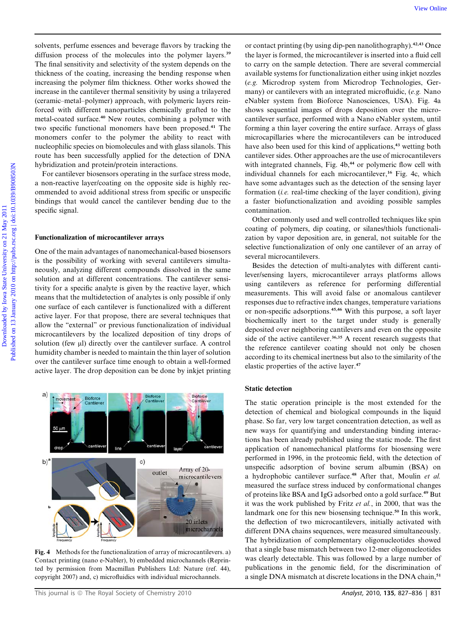solvents, perfume essences and beverage flavors by tracking the diffusion process of the molecules into the polymer layers.<sup>39</sup> The final sensitivity and selectivity of the system depends on the thickness of the coating, increasing the bending response when increasing the polymer film thickness. Other works showed the increase in the cantilever thermal sensitivity by using a trilayered (ceramic–metal–polymer) approach, with polymeric layers reinforced with different nanoparticles chemically grafted to the metal-coated surface.<sup>40</sup> New routes, combining a polymer with two specific functional monomers have been proposed.<sup>41</sup> The monomers confer to the polymer the ability to react with nucleophilic species on biomolecules and with glass silanols. This route has been successfully applied for the detection of DNA hybridization and protein/protein interactions.

For cantilever biosensors operating in the surface stress mode, a non-reactive layer/coating on the opposite side is highly recommended to avoid additional stress from specific or unspecific bindings that would cancel the cantilever bending due to the specific signal.

### Functionalization of microcantilever arrays

One of the main advantages of nanomechanical-based biosensors is the possibility of working with several cantilevers simultaneously, analyzing different compounds dissolved in the same solution and at different concentrations. The cantilever sensitivity for a specific analyte is given by the reactive layer, which means that the multidetection of analytes is only possible if only one surface of each cantilever is functionalized with a different active layer. For that propose, there are several techniques that allow the "external" or previous functionalization of individual microcantilevers by the localized deposition of tiny drops of solution (few µl) directly over the cantilever surface. A control humidity chamber is needed to maintain the thin layer of solution over the cantilever surface time enough to obtain a well-formed active layer. The drop deposition can be done by inkjet printing



Fig. 4 Methods for the functionalization of array of microcantilevers. a) Contact printing (nano e-Nabler), b) embedded microchannels (Reprinted by permission from Macmillan Publishers Ltd: Nature (ref. 44), copyright 2007) and, c) microfluidics with individual microchannels.

or contact printing (by using dip-pen nanolithography).42,43 Once the layer is formed, the microcantilever is inserted into a fluid cell to carry on the sample detection. There are several commercial available systems for functionalization either using inkjet nozzles (e.g. Microdrop system from Microdrop Technologies, Germany) or cantilevers with an integrated microfluidic, (e.g. Nano eNabler system from Bioforce Nanosciences, USA). Fig. 4a shows sequential images of drops deposition over the microcantilever surface, performed with a Nano eNabler system, until forming a thin layer covering the entire surface. Arrays of glass microcapillaries where the microcantilevers can be introduced have also been used for this kind of applications,<sup>43</sup> wetting both cantilever sides. Other approaches are the use of microcantilevers with integrated channels, Fig. 4b,<sup>44</sup> or polymeric flow cell with individual channels for each microcantilever,<sup>16</sup> Fig. 4c, which have some advantages such as the detection of the sensing layer formation (*i.e.* real-time checking of the layer condition), giving a faster biofunctionalization and avoiding possible samples contamination. We Online<br>
Solvents, perhane essences and henoring flavors by mecking the<br>
or constant principal constant and the domain of the induced by the simulation of the main state of the main of the simulation of the simulation o

Other commonly used and well controlled techniques like spin coating of polymers, dip coating, or silanes/thiols functionalization by vapor deposition are, in general, not suitable for the selective functionalization of only one cantilever of an array of several microcantilevers.

Besides the detection of multi-analytes with different cantilever/sensing layers, microcantilever arrays platforms allows using cantilevers as reference for performing differential measurements. This will avoid false or anomalous cantilever responses due to refractive index changes, temperature variations or non-specific adsorptions.45,46 With this purpose, a soft layer biochemically inert to the target under study is generally deposited over neighboring cantilevers and even on the opposite side of the active cantilever.<sup>36,35</sup> A recent research suggests that the reference cantilever coating should not only be chosen according to its chemical inertness but also to the similarity of the elastic properties of the active layer.<sup>47</sup>

## Static detection

The static operation principle is the most extended for the detection of chemical and biological compounds in the liquid phase. So far, very low target concentration detection, as well as new ways for quantifying and understanding binding interactions has been already published using the static mode. The first application of nanomechanical platforms for biosensing were performed in 1996, in the proteomic field, with the detection of unspecific adsorption of bovine serum albumin (BSA) on a hydrophobic cantilever surface.<sup>48</sup> After that, Moulin et al. measured the surface stress induced by conformational changes of proteins like BSA and IgG adsorbed onto a gold surface.<sup>49</sup> But it was the work published by Fritz et al., in 2000, that was the landmark one for this new biosensing technique.<sup>50</sup> In this work, the deflection of two microcantilevers, initially activated with different DNA chains sequences, were measured simultaneously. The hybridization of complementary oligonucleotides showed that a single base mismatch between two 12-mer oligonucleotides was clearly detectable. This was followed by a large number of publications in the genomic field, for the discrimination of a single DNA mismatch at discrete locations in the DNA chain,<sup>51</sup>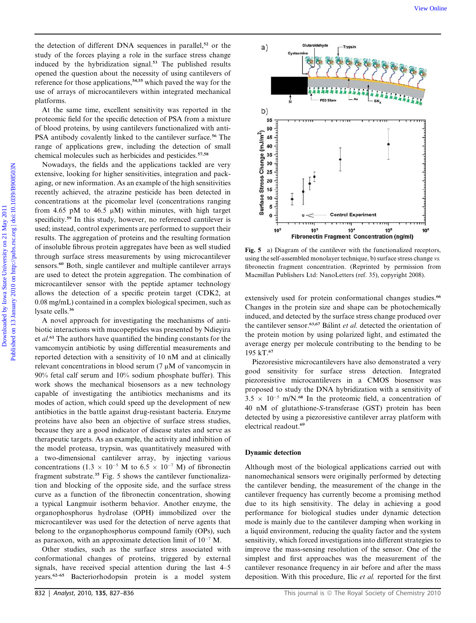the detection of different DNA sequences in parallel,<sup>52</sup> or the study of the forces playing a role in the surface stress change induced by the hybridization signal.<sup>53</sup> The published results opened the question about the necessity of using cantilevers of reference for those applications,<sup>54,55</sup> which paved the way for the use of arrays of microcantilevers within integrated mechanical platforms.

At the same time, excellent sensitivity was reported in the proteomic field for the specific detection of PSA from a mixture of blood proteins, by using cantilevers functionalized with anti-PSA antibody covalently linked to the cantilever surface.<sup>56</sup> The range of applications grew, including the detection of small chemical molecules such as herbicides and pesticides.<sup>57,58</sup>

Nowadays, the fields and the applications tackled are very extensive, looking for higher sensitivities, integration and packaging, or new information. As an example of the high sensitivities recently achieved, the atrazine pesticide has been detected in concentrations at the picomolar level (concentrations ranging from 4.65 pM to 46.5  $\mu$ M) within minutes, with high target specificity.<sup>59</sup> In this study, however, no referenced cantilever is used; instead, control experiments are performed to support their results. The aggregation of proteins and the resulting formation of insoluble fibrous protein aggregates have been as well studied through surface stress measurements by using microcantilever sensors.<sup>60</sup> Both, single cantilever and multiple cantilever arrays are used to detect the protein aggregation. The combination of microcantilever sensor with the peptide aptamer technology allows the detection of a specific protein target (CDK2, at 0.08 mg/mL) contained in a complex biological specimen, such as lysate cells.<sup>36</sup>

A novel approach for investigating the mechanisms of antibiotic interactions with mucopeptides was presented by Ndieyira et al.<sup>61</sup> The authors have quantified the binding constants for the vamcomycin antibiotic by using differential measurements and reported detection with a sensitivity of 10 nM and at clinically relevant concentrations in blood serum  $(7 \mu M)$  of vancomycin in 90% fetal calf serum and 10% sodium phosphate buffer). This work shows the mechanical biosensors as a new technology capable of investigating the antibiotics mechanisms and its modes of action, which could speed up the development of new antibiotics in the battle against drug-resistant bacteria. Enzyme proteins have also been an objective of surface stress studies, because they are a good indicator of disease states and serve as therapeutic targets. As an example, the activity and inhibition of the model proteasa, trypsin, was quantitatively measured with a two-dimensional cantilever array, by injecting various concentrations  $(1.3 \times 10^{-5} \text{ M to } 6.5 \times 10^{-7} \text{ M})$  of fibronectin fragment substrate.<sup>35</sup> Fig. 5 shows the cantilever functionalization and blocking of the opposite side, and the surface stress curve as a function of the fibronectin concentration, showing a typical Langmuir isotherm behavior. Another enzyme, the organophosphorus hydrolase (OPH) immobilized over the microcantilever was used for the detection of nerve agents that belong to the organophosphorus compound family (OPs), such as paraoxon, with an approximate detection limit of  $10^{-7}$  M.

Other studies, such as the surface stress associated with conformational changes of proteins, triggered by external signals, have received special attention during the last 4–5 years.62–65 Bacteriorhodopsin protein is a model system





Fig. 5 a) Diagram of the cantilever with the functionalized receptors, using the self-assembled monolayer technique, b) surface stress change vs. fibronectin fragment concentration. (Reprinted by permission from Macmillan Publishers Ltd: NanoLetters (ref. 35), copyright 2008).

extensively used for protein conformational changes studies.<sup>66</sup> Changes in the protein size and shape can be photochemically induced, and detected by the surface stress change produced over the cantilever sensor.<sup>63,67</sup> Bálint et al. detected the orientation of the protein motion by using polarized light, and estimated the average energy per molecule contributing to the bending to be 195 kT.<sup>67</sup>

Piezoresistive microcantilevers have also demonstrated a very good sensitivity for surface stress detection. Integrated piezoresistive microcantilevers in a CMOS biosensor was proposed to study the DNA hybridization with a sensitivity of  $3.5 \times 10^{-5}$  m/N.<sup>68</sup> In the proteomic field, a concentration of 40 nM of glutathione-S-transferase (GST) protein has been detected by using a piezoresistive cantilever array platform with electrical readout.<sup>69</sup>

#### Dynamic detection

Although most of the biological applications carried out with nanomechanical sensors were originally performed by detecting the cantilever bending, the measurement of the change in the cantilever frequency has currently become a promising method due to its high sensitivity. The delay in achieving a good performance for biological studies under dynamic detection mode is mainly due to the cantilever damping when working in a liquid environment, reducing the quality factor and the system sensitivity, which forced investigations into different strategies to improve the mass-sensing resolution of the sensor. One of the simplest and first approaches was the measurement of the cantilever resonance frequency in air before and after the mass deposition. With this procedure, Ilic et al. reported for the first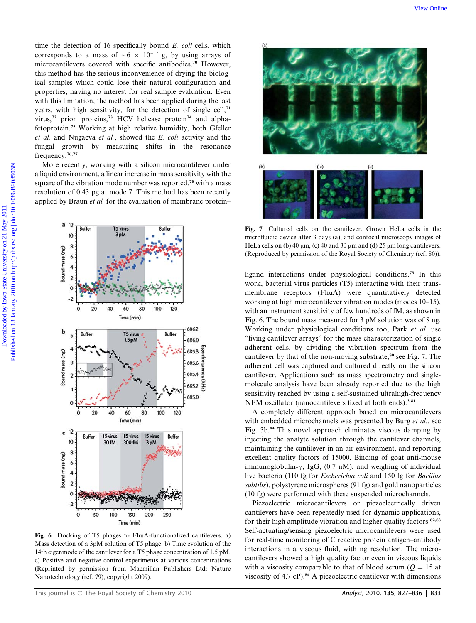time the detection of 16 specifically bound E. coli cells, which corresponds to a mass of  $\sim 6 \times 10^{-12}$  g, by using arrays of microcantilevers covered with specific antibodies.<sup>70</sup> However, this method has the serious inconvenience of drying the biological samples which could lose their natural configuration and properties, having no interest for real sample evaluation. Even with this limitation, the method has been applied during the last years, with high sensitivity, for the detection of single cell, $71$ virus,<sup>72</sup> prion proteins,<sup>73</sup> HCV helicase protein<sup>74</sup> and alphafetoprotein.<sup>75</sup> Working at high relative humidity, both Gfeller et al. and Nugaeva et al., showed the E. coli activity and the fungal growth by measuring shifts in the resonance frequency.76,77

More recently, working with a silicon microcantilever under a liquid environment, a linear increase in mass sensitivity with the square of the vibration mode number was reported,<sup>78</sup> with a mass resolution of 0.43 pg at mode 7. This method has been recently applied by Braun *et al.* for the evaluation of membrane protein–



Fig. 6 Docking of T5 phages to FhuA-functionalized cantilevers. a) Mass detection of a 3pM solution of T5 phage. b) Time evolution of the 14th eigenmode of the cantilever for a T5 phage concentration of 1.5 pM. c) Positive and negative control experiments at various concentrations (Reprinted by permission from Macmillan Publishers Ltd: Nature Nanotechnology (ref. 79), copyright 2009).

This journal is © The Royal Society of Chemistry 2010 Analyst, 2010, 135, 827–836 | 833



Fig. 7 Cultured cells on the cantilever. Grown HeLa cells in the microfluidic device after 3 days (a), and confocal microscopy images of HeLa cells on (b) 40  $\mu$ m, (c) 40 and 30  $\mu$ m and (d) 25  $\mu$ m long cantilevers. (Reproduced by permission of the Royal Society of Chemistry (ref. 80)).

ligand interactions under physiological conditions.<sup>79</sup> In this work, bacterial virus particles (T5) interacting with their transmembrane receptors (FhuA) were quantitatively detected working at high microcantilever vibration modes (modes 10–15), with an instrument sensitivity of few hundreds of fM, as shown in Fig. 6. The bound mass measured for 3 pM solution was of 8 ng. Working under physiological conditions too, Park et al. use ''living cantilever arrays'' for the mass characterization of single adherent cells, by dividing the vibration spectrum from the cantilever by that of the non-moving substrate, $80$  see Fig. 7. The adherent cell was captured and cultured directly on the silicon cantilever. Applications such as mass spectrometry and singlemolecule analysis have been already reported due to the high sensitivity reached by using a self-sustained ultrahigh-frequency NEM oscillator (nanocantilevers fixed at both ends).<sup>3,81</sup>

A completely different approach based on microcantilevers with embedded microchannels was presented by Burg et al., see Fig. 3b.<sup>44</sup> This novel approach eliminates viscous damping by injecting the analyte solution through the cantilever channels, maintaining the cantilever in an air environment, and reporting excellent quality factors of 15000. Binding of goat anti-mouse immunoglobulin- $\gamma$ , IgG, (0.7 nM), and weighing of individual live bacteria (110 fg for Escherichia coli and 150 fg for Bacillus subtilis), polystyrene microspheres (91 fg) and gold nanoparticles (10 fg) were performed with these suspended microchannels.

Piezoelectric microcantilevers or piezoelectrically driven cantilevers have been repeatedly used for dynamic applications, for their high amplitude vibration and higher quality factors.<sup>82,83</sup> Self-actuating/sensing piezoelectric microcantilevers were used for real-time monitoring of C reactive protein antigen–antibody interactions in a viscous fluid, with ng resolution. The microcantilevers showed a high quality factor even in viscous liquids with a viscosity comparable to that of blood serum ( $Q = 15$  at viscosity of 4.7 cP).<sup>84</sup> A piezoelectric cantilever with dimensions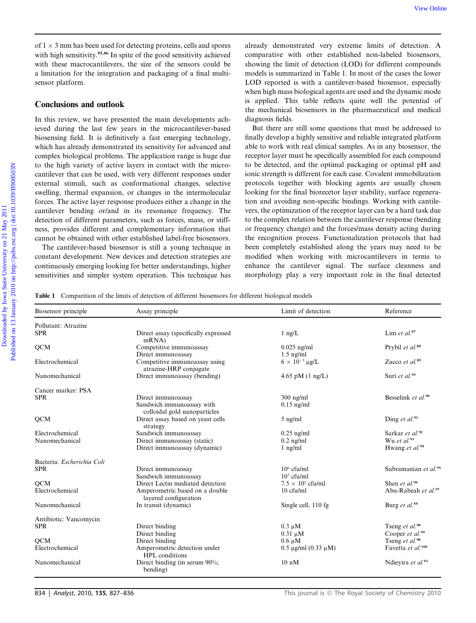of  $1 \times 3$  mm has been used for detecting proteins, cells and spores with high sensitivity.<sup>85,86</sup> In spite of the good sensitivity achieved with these macrocantilevers, the size of the sensors could be a limitation for the integration and packaging of a final multisensor platform.

## Conclusions and outlook

In this review, we have presented the main developments achieved during the last few years in the microcantilever-based biosensing field. It is definitively a fast emerging technology, which has already demonstrated its sensitivity for advanced and complex biological problems. The application range is huge due to the high variety of active layers in contact with the microcantilever that can be used, with very different responses under external stimuli, such as conformational changes, selective swelling, thermal expansion, or changes in the intermolecular forces. The active layer response produces either a change in the cantilever bending or/and in its resonance frequency. The detection of different parameters, such as forces, mass, or stiffness, provides different and complementary information that cannot be obtained with other established label-free biosensors.

The cantilever-based biosensor is still a young technique in constant development. New devices and detection strategies are continuously emerging looking for better understandings, higher sensitivities and simpler system operation. This technique has already demonstrated very extreme limits of detection. A comparative with other established non-labeled biosensors, showing the limit of detection (LOD) for different compounds models is summarized in Table 1. In most of the cases the lower LOD reported is with a cantilever-based biosensor, especially when high mass biological agents are used and the dynamic mode is applied. This table reflects quite well the potential of the mechanical biosensors in the pharmaceutical and medical diagnosis fields.

But there are still some questions that must be addressed to finally develop a highly sensitive and reliable integrated platform able to work with real clinical samples. As in any biosensor, the receptor layer must be specifically assembled for each compound to be detected, and the optimal packaging or optimal pH and ionic strength is different for each case. Covalent immobilization protocols together with blocking agents are usually chosen looking for the final biorecetor layer stability, surface regeneration and avoiding non-specific bindings. Working with cantilevers, the optimization of the receptor layer can be a hard task due to the complex relation between the cantilever response (bending or frequency change) and the forces/mass density acting during the recognition process. Functionalization protocols that had been completely established along the years may need to be modified when working with microcantilevers in terms to enhance the cantilever signal. The surface cleanness and morphology play a very important role in the final detected OF 1  $\times$  3 Trum has been used for detecting proteins, cells and spons are arely democrated very seternes limit in 5 of 10.1039 on has although consider the same considered by the arely of the same considered by the same

Table 1 Comparition of the limits of detection of different biosensors for different biological models

| Biosensor principle        | Assay principle                                                                 | Limit of detection           | Reference                                    |
|----------------------------|---------------------------------------------------------------------------------|------------------------------|----------------------------------------------|
| Pollutant: Atrazine        |                                                                                 |                              |                                              |
| <b>SPR</b>                 | Direct assay (specifically expressed<br>mRNA                                    | $1$ ng/L                     | Lim et $al$ . <sup>87</sup>                  |
| <b>OCM</b>                 | Competitive immunoassay<br>Direct immunoassay                                   | $0.025$ ng/ml<br>$1.5$ ng/ml | Prybil et al. <sup>88</sup>                  |
| Electrochemical            | Competitive immunoassay using<br>atrazine-HRP conjugate                         | $6 \times 10^{-3} \mu g/L$   | Zacco et $al$ <sup>89</sup>                  |
| Nanomechanical             | Direct immunoassay (bending)                                                    | 4.65 pM $(1 \text{ ng/L})$   | Suri et al. <sup>59</sup>                    |
| Cancer marker: PSA         |                                                                                 |                              |                                              |
| <b>SPR</b>                 | Direct immunoassay<br>Sandwich immunoassay with<br>colloidal gold nanoparticles | $300$ ng/ml<br>$0.15$ ng/ml  | Besselink et al. <sup>90</sup>               |
| <b>QCM</b>                 | Direct assay based on yeast cells<br>strategy                                   | $5$ ng/ml                    | Ding et al. <sup>91</sup>                    |
| Electrochemical            | Sandwich immunoassay                                                            | $0.25$ ng/ml                 | Sarkar et al. <sup>92</sup>                  |
| Nanomechanical             | Direct immunoassay (static)<br>Direct immunoassay (dynamic)                     | $0.2$ ng/ml<br>$1$ ng/m $1$  | Wu et al. $93$<br>Hwang et al. <sup>94</sup> |
| Bacteria: Escherichia Coli |                                                                                 |                              |                                              |
| <b>SPR</b>                 | Direct immunoassay<br>Sandwich immunoassay                                      | $106$ cfu/ml<br>$103$ cfu/ml | Subramanian et al. <sup>95</sup>             |
| <b>QCM</b>                 | Direct Lectin mediated detection                                                | $7.5 \times 10^2$ cfu/ml     | Shen et al. <sup>96</sup>                    |
| Electrochemical            | Amperometric based on a double<br>layered configuration                         | $10 \text{ cfu/ml}$          | Abu-Rabeah et al.97                          |
| Nanomechanical             | In transit (dynamic)                                                            | Single cell, 110 fg          | Burg et al. <sup>44</sup>                    |
| Antibiotic: Vancomycin     |                                                                                 |                              |                                              |
| <b>SPR</b>                 | Direct binding                                                                  | $0.3 \mu M$                  | Tseng et al. <sup>98</sup>                   |
|                            | Direct binding                                                                  | $0.31 \mu M$                 | Cooper et al. <sup>99</sup>                  |
| QCM                        | Direct binding                                                                  | $0.6 \mu M$                  | Tseng et al. <sup>98</sup>                   |
| Electrochemical            | Amperometric detection under<br>HPL conditions                                  | $0.5 \mu$ g/ml (0.33 μM)     | Favetta et al. <sup>100</sup>                |
| Nanomechanical             | Direct binding (in serum 90%;<br>bending)                                       | $10 \text{ nM}$              | Ndievira et al. <sup>61</sup>                |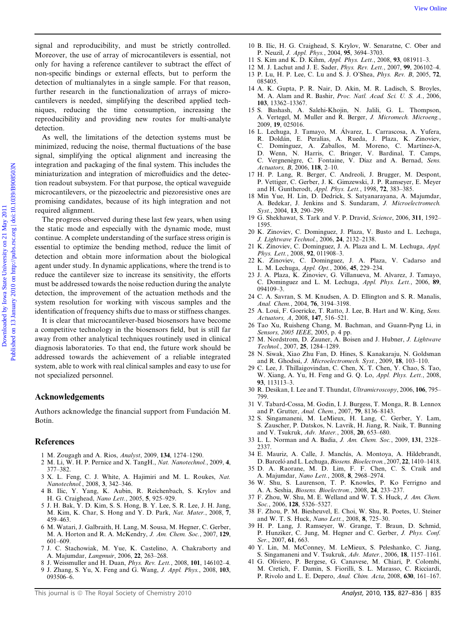signal and reproducibility, and must be strictly controlled. Moreover, the use of array of microcantilevers is essential, not only for having a reference cantilever to subtract the effect of non-specific bindings or external effects, but to perform the detection of multianalytes in a single sample. For that reason, further research in the functionalization of arrays of microcantilevers is needed, simplifying the described applied techniques, reducing the time consumption, increasing the reproducibility and providing new routes for multi-analyte detection.

As well, the limitations of the detection systems must be minimized, reducing the noise, thermal fluctuations of the base signal, simplifying the optical alignment and increasing the integration and packaging of the final system. This includes the miniaturization and integration of microfluidics and the detection readout subsystem. For that purpose, the optical waveguide microcantilevers, or the piezoelectric and piezoresistive ones are promising candidates, because of its high integration and not required alignment.

The progress observed during these last few years, when using the static mode and especially with the dynamic mode, must continue. A complete understanding of the surface stress origin is essential to optimize the bending method, reduce the limit of detection and obtain more information about the biological agent under study. In dynamic applications, where the trend is to reduce the cantilever size to increase its sensitivity, the efforts must be addressed towards the noise reduction during the analyte detection, the improvement of the actuation methods and the system resolution for working with viscous samples and the identification of frequency shifts due to mass or stiffness changes. Were Online on a prediction of published on the state University of the Barriston Contract Contract Contract Contract Contract Contract Contract Contract Contract Contract Contract Contract Contract Contract Contract Cont

It is clear that microcantilever-based biosensors have become a competitive technology in the biosensors field, but is still far away from other analytical techniques routinely used in clinical diagnosis laboratories. To that end, the future work should be addressed towards the achievement of a reliable integrated system, able to work with real clinical samples and easy to use for not specialized personnel.

## Acknowledgements

Authors acknowledge the financial support from Fundación M. Botín.

#### References

- 1 M. Zougagh and A. Rios, Analyst, 2009, 134, 1274–1290.
- 2 M. Li, W. H. P. Pernice and X. TangH., Nat. Nanotechnol., 2009, 4, 377–382.
- 3 X. L. Feng, C. J. White, A. Hajimiri and M. L. Roukes, Nat. Nanotechnol., 2008, 3, 342–346.
- 4 B. Ilic, Y. Yang, K. Aubin, R. Reichenbach, S. Krylov and H. G. Craighead, Nano Lett., 2005, 5, 925–929.
- 5 J. H. Bak, Y. D. Kim, S. S. Hong, B. Y. Lee, S. R. Lee, J. H. Jang, M. Kim, K. Char, S. Hong and Y. D. Park, Nat. Mater., 2008, 7, 459–463.
- 6 M. Watari, J. Galbraith, H. Lang, M. Sousa, M. Hegner, C. Gerber, M. A. Horton and R. A. McKendry, J. Am. Chem. Soc., 2007, 129, 601–609.
- 7 J. C. Stachowiak, M. Yue, K. Castelino, A. Chakraborty and A. Majumdar, Langmuir, 2006, 22, 263–268.
- 8 J. Weissmuller and H. Duan, Phys. Rev. Lett., 2008, 101, 146102–4.
- 9 J. Zhang, S. Yu, X. Feng and G. Wang, J. Appl. Phys., 2008, 103, 093506–6.
- 10 B. Ilic, H. G. Craighead, S. Krylov, W. Senaratne, C. Ober and P. Neuzil, J. Appl. Phys., 2004, 95, 3694–3703.
- 11 S. Kim and K. D. Kihm, Appl. Phys. Lett., 2008, 93, 081911–3.
- 12 M. J. Lachut and J. E. Sader, Phys. Rev. Lett., 2007, 99, 206102–4.
- 13 P. Lu, H. P. Lee, C. Lu and S. J. O'Shea, Phys. Rev. B, 2005, 72, 085405.
- 14 A. K. Gupta, P. R. Nair, D. Akin, M. R. Ladisch, S. Broyles, M. A. Alam and R. Bashir, Proc. Natl. Acad. Sci. U. S. A., 2006, 103, 13362–13367.
- 15 S. Bashash, A. Salehi-Khojin, N. Jalili, G. L. Thompson, A. Vertegel, M. Muller and R. Berger, J. Micromech. Microeng., 2009, 19, 025016.
- 16 L. Lechuga, J. Tamayo, M. Alvarez, L. Carrascosa, A. Yufera, R. Doldán, E. Peralías, A. Rueda, J. Plaza, K. Zinoviev, C. Domínguez, A. Zaballos, M. Moreno, C. Martínez-A, D. Wenn, N. Harris, C. Bringer, V. Bardinal, T. Camps, C. Vergnenègre, C. Fontaine, V. Díaz and A. Bernad, Sens. Actuators, B, 2006, 118, 2–10.
- 17 H. P. Lang, R. Berger, C. Andreoli, J. Brugger, M. Despont, P. Vettiger, C. Gerber, J. K. Gimzewski, J. P. Ramseyer, E. Meyer and H. Guntherodt, Appl. Phys. Lett., 1998, 72, 383–385.
- 18 Min Yue, H. Lin, D. Dedrick, S. Satyanarayana, A. Majumdar, A. Bedekar, J. Jenkins and S. Sundaram, J. Microelectromech. Syst., 2004, 13, 290–299.
- 19 G. Shekhawat, S. Tark and V. P. Dravid, Science, 2006, 311, 1592– 1595.
- 20 K. Zinoviev, C. Dominguez, J. Plaza, V. Busto and L. Lechuga, J. Lightwave Technol., 2006, 24, 2132–2138.
- 21 K. Zinoviev, C. Dominguez, J. A. Plaza and L. M. Lechuga, Appl. Phys. Lett., 2008, 92, 011908–3.
- 22 K. Zinoviev, C. Dominguez, J. A. Plaza, V. Cadarso and L. M. Lechuga, Appl. Opt., 2006, 45, 229–234.
- 23 J. A. Plaza, K. Zinoviev, G. Villanueva, M. Alvarez, J. Tamayo, C. Dominguez and L. M. Lechuga, Appl. Phys. Lett., 2006, 89, 094109–3.
- 24 C. A. Savran, S. M. Knudsen, A. D. Ellington and S. R. Manalis, Anal. Chem., 2004, 76, 3194–3198.
- 25 A. Loui, F. Goericke, T. Ratto, J. Lee, B. Hart and W. King, Sens. Actuators, A, 2008, 147, 516-521.
- 26 Tao Xu, Ruisheng Chang, M. Bachman, and Guann-Pyng Li, in Sensors, 2005 IEEE, 2005, p. 4 pp.
- 27 M. Nordstrom, D. Zauner, A. Boisen and J. Hubner, J. Lightwave Technol., 2007, 25, 1284–1289.
- 28 N. Siwak, Xiao Zhu Fan, D. Hines, S. Kanakaraju, N. Goldsman and R. Ghodssi, J. Microelectromech. Syst., 2009, 18, 103–110.
- 29 C. Lee, J. Thillaigovindan, C. Chen, X. T. Chen, Y. Chao, S. Tao, W. Xiang, A. Yu, H. Feng and G. Q. Lo, Appl. Phys. Lett., 2008, 93, 113113–3.
- 30 R. Desikan, I. Lee and T. Thundat, Ultramicroscopy, 2006, 106, 795– 799.
- 31 V. Tabard-Cossa, M. Godin, I. J. Burgess, T. Monga, R. B. Lennox and P. Grutter, Anal. Chem., 2007, 79, 8136–8143.
- 32 S. Singamaneni, M. LeMieux, H. Lang, C. Gerber, Y. Lam, S. Zauscher, P. Datskos, N. Lavrik, H. Jiang, R. Naik, T. Bunning and V. Tsukruk, Adv. Mater., 2008, 20, 653–680.
- 33 L. L. Norman and A. Badia, J. Am. Chem. Soc., 2009, 131, 2328– 2337.
- 34 E. Mauriz, A. Calle, J. Manclús, A. Montoya, A. Hildebrandt, D. Barceló and L. Lechuga, Biosens. Bioelectron., 2007, 22, 1410-1418.
- 35 D. A. Raorane, M. D. Lim, F. F. Chen, C. S. Craik and A. Majumdar, Nano Lett., 2008, 8, 2968–2974.
- 36 W. Shu, S. Laurenson, T. P. Knowles, P. Ko Ferrigno and A. A. Seshia, Biosens. Bioelectron., 2008, 24, 233–237.
- 37 F. Zhou, W. Shu, M. E. Welland and W. T. S. Huck, J. Am. Chem. Soc., 2006, 128, 5326-5327.
- 38 F. Zhou, P. M. Biesheuvel, E. Choi, W. Shu, R. Poetes, U. Steiner and W. T. S. Huck, Nano Lett., 2008, 8, 725–30.
- 39 H. P. Lang, J. Ramseyer, W. Grange, T. Braun, D. Schmid, P. Hunziker, C. Jung, M. Hegner and C. Gerber, J. Phys. Conf. Ser., 2007, 61, 663.
- 40 Y. Lin, M. McConney, M. LeMieux, S. Peleshanko, C. Jiang, S. Singamaneni and V. Tsukruk, Adv. Mater., 2006, 18, 1157–1161.
- 41 G. Oliviero, P. Bergese, G. Canavese, M. Chiari, P. Colombi, M. Cretich, F. Damin, S. Fiorilli, S. L. Marasso, C. Ricciardi, P. Rivolo and L. E. Depero, Anal. Chim. Acta, 2008, 630, 161–167.